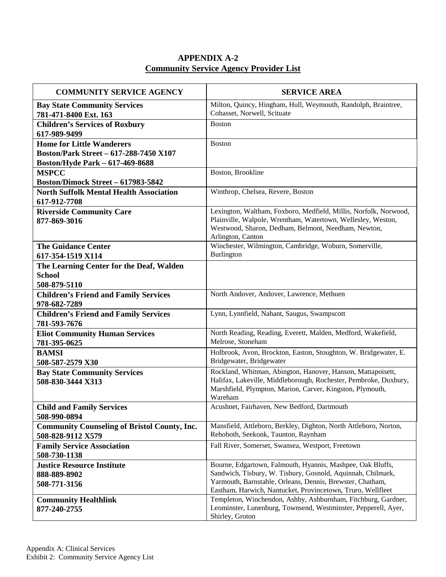## **APPENDIX A-2 Community Service Agency Provider List**

| <b>COMMUNITY SERVICE AGENCY</b>                                            | <b>SERVICE AREA</b>                                                                                                                                                                                                                                   |
|----------------------------------------------------------------------------|-------------------------------------------------------------------------------------------------------------------------------------------------------------------------------------------------------------------------------------------------------|
| <b>Bay State Community Services</b><br>781-471-8400 Ext. 163               | Milton, Quincy, Hingham, Hull, Weymouth, Randolph, Braintree,<br>Cohasset, Norwell, Scituate                                                                                                                                                          |
| <b>Children's Services of Roxbury</b><br>617-989-9499                      | <b>Boston</b>                                                                                                                                                                                                                                         |
| <b>Home for Little Wanderers</b><br>Boston/Park Street - 617-288-7450 X107 | <b>Boston</b>                                                                                                                                                                                                                                         |
| Boston/Hyde Park - 617-469-8688                                            |                                                                                                                                                                                                                                                       |
| <b>MSPCC</b><br><b>Boston/Dimock Street - 617983-5842</b>                  | Boston, Brookline                                                                                                                                                                                                                                     |
| <b>North Suffolk Mental Health Association</b><br>617-912-7708             | Winthrop, Chelsea, Revere, Boston                                                                                                                                                                                                                     |
| <b>Riverside Community Care</b><br>877-869-3016                            | Lexington, Waltham, Foxboro, Medfield, Millis, Norfolk, Norwood,<br>Plainville, Walpole, Wrentham, Watertown, Wellesley, Weston,<br>Westwood, Sharon, Dedham, Belmont, Needham, Newton,<br>Arlington, Canton                                          |
| <b>The Guidance Center</b><br>617-354-1519 X114                            | Winchester, Wilmington, Cambridge, Woburn, Somerville,<br>Burlington                                                                                                                                                                                  |
| The Learning Center for the Deaf, Walden<br><b>School</b><br>508-879-5110  |                                                                                                                                                                                                                                                       |
| <b>Children's Friend and Family Services</b><br>978-682-7289               | North Andover, Andover, Lawrence, Methuen                                                                                                                                                                                                             |
| <b>Children's Friend and Family Services</b><br>781-593-7676               | Lynn, Lynnfield, Nahant, Saugus, Swampscott                                                                                                                                                                                                           |
| <b>Eliot Community Human Services</b><br>781-395-0625                      | North Reading, Reading, Everett, Malden, Medford, Wakefield,<br>Melrose, Stoneham                                                                                                                                                                     |
| <b>BAMSI</b><br>508-587-2579 X30                                           | Holbrook, Avon, Brockton, Easton, Stoughton, W. Bridgewater, E.<br>Bridgewater, Bridgewater                                                                                                                                                           |
| <b>Bay State Community Services</b><br>508-830-3444 X313                   | Rockland, Whitman, Abington, Hanover, Hanson, Mattapoisett,<br>Halifax, Lakeville, Middleborough, Rochester, Pembroke, Duxbury,<br>Marshfield, Plympton, Marion, Carver, Kingston, Plymouth,<br>Wareham                                               |
| <b>Child and Family Services</b><br>508-990-0894                           | Acushnet, Fairhaven, New Bedford, Dartmouth                                                                                                                                                                                                           |
| <b>Community Counseling of Bristol County, Inc.</b><br>508-828-9112 X579   | Mansfield, Attleboro, Berkley, Dighton, North Attleboro, Norton,<br>Rehoboth, Seekonk, Taunton, Raynham                                                                                                                                               |
| <b>Family Service Association</b><br>508-730-1138                          | Fall River, Somerset, Swansea, Westport, Freetown                                                                                                                                                                                                     |
| <b>Justice Resource Institute</b><br>888-889-8902<br>508-771-3156          | Bourne, Edgartown, Falmouth, Hyannis, Mashpee, Oak Bluffs,<br>Sandwich, Tisbury, W. Tisbury, Gosnold, Aquinnah, Chilmark,<br>Yarmouth, Barnstable, Orleans, Dennis, Brewster, Chatham,<br>Eastham, Harwich, Nantucket, Provincetown, Truro, Wellfleet |
| <b>Community Healthlink</b><br>877-240-2755                                | Templeton, Winchendon, Ashby, Ashburnham, Fitchburg, Gardner,<br>Leominster, Lunenburg, Townsend, Westminster, Pepperell, Ayer,<br>Shirley, Groton                                                                                                    |